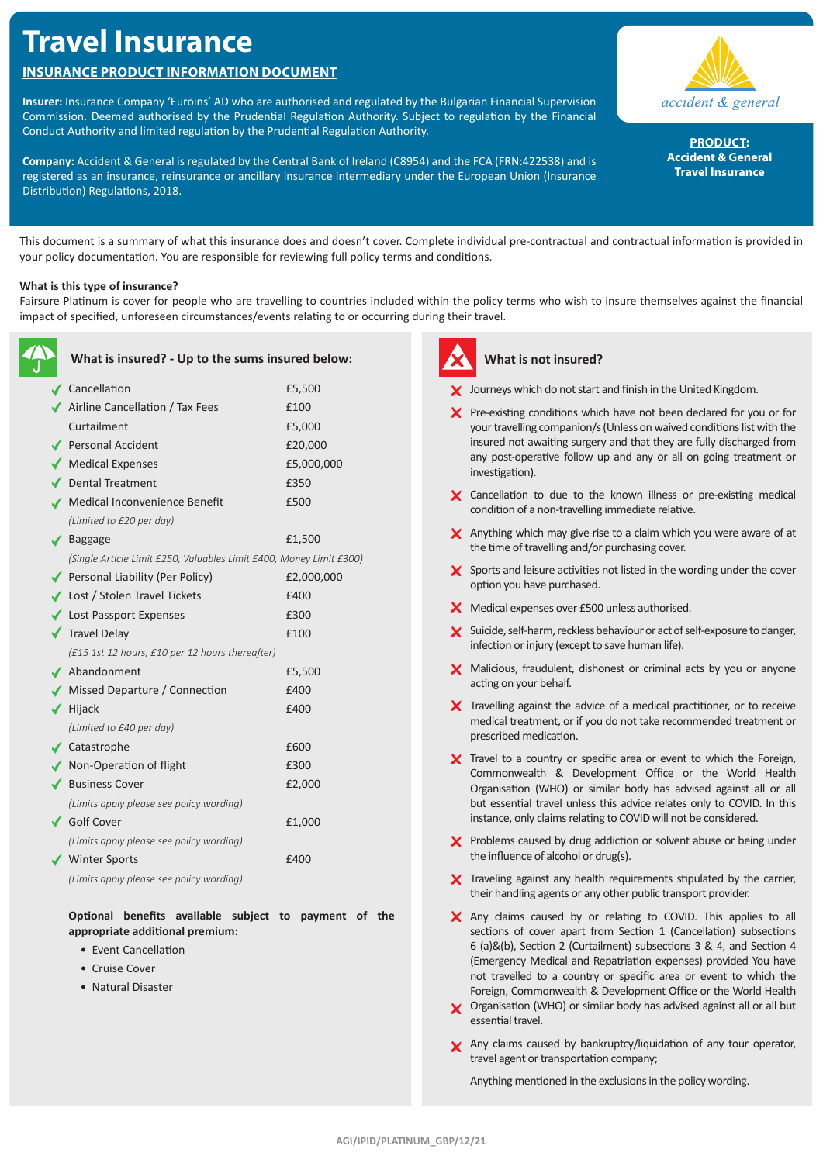# **Travel Insurance**

# **INSURANCE PRODUCT INFORMATION DOCUMENT**

**Insurer:** Insurance Company 'Euroins' AD who are authorised and regulated by the Bulgarian Financial Supervision Commission. Deemed authorised by the Prudential Regulation Authority. Subject to regulation by the Financial Conduct Authority and limited regulation by the Prudential Regulation Authority.

**Company:** Accident & General is regulated by the Central Bank of Ireland (C8954) and the FCA (FRN:422538) and is registered as an insurance, reinsurance or ancillary insurance intermediary under the European Union (Insurance Distribution) Regulations, 2018.



**PRODUCT: Accident & General Travel Insurance**

This document is a summary of what this insurance does and doesn't cover. Complete individual pre-contractual and contractual information is provided in your policy documentation. You are responsible for reviewing full policy terms and conditions.

# **What is this type of insurance?**

Fairsure Platinum is cover for people who are travelling to countries included within the policy terms who wish to insure themselves against the financial impact of specified, unforeseen circumstances/events relating to or occurring during their travel.

| What is insured? - Up to the sums insured below:                    |            |
|---------------------------------------------------------------------|------------|
| ✔ Cancellation                                                      | £5,500     |
| ◆ Airline Cancellation / Tax Fees                                   | £100       |
| Curtailment                                                         | £5,000     |
| <b>Personal Accident</b>                                            | £20,000    |
| $\blacktriangleright$ Medical Expenses                              | £5,000,000 |
| $\sqrt{\phantom{a}}$ Dental Treatment                               | £350       |
| √ Medical Inconvenience Benefit                                     | £500       |
| (Limited to £20 per day)                                            |            |
| $\sqrt{\phantom{a}}$ Baggage                                        | £1,500     |
| (Single Article Limit £250, Valuables Limit £400, Money Limit £300) |            |
| ◆ Personal Liability (Per Policy)                                   | £2,000,000 |
| ↓ Lost / Stolen Travel Tickets                                      | £400       |
| ◆ Lost Passport Expenses                                            | £300       |
| $\sqrt{\phantom{a}}$ Travel Delay                                   | £100       |
| (£15 1st 12 hours, £10 per 12 hours thereafter)                     |            |
| ✔ Abandonment                                                       | £5,500     |
| ◆ Missed Departure / Connection                                     | £400       |
| $\blacktriangledown$ Hijack                                         | £400       |
| (Limited to £40 per day)                                            |            |
| ✔ Catastrophe                                                       | £600       |
| ◆ Non-Operation of flight                                           | £300       |
| ◆ Business Cover                                                    | £2,000     |
| (Limits apply please see policy wording)                            |            |
| ✔ Golf Cover                                                        | £1,000     |
| (Limits apply please see policy wording)                            |            |
| ✔ Winter Sports                                                     | £400       |
| (Limits apply please see policy wording)                            |            |

**Optional benefits available subject to payment of the appropriate additional premium:**

- Event Cancellation
- Cruise Cover
- Natural Disaster



# **What is not insured?**

- $\blacktriangleright$  Journeys which do not start and finish in the United Kingdom.
- $\boldsymbol{\times}$  Pre-existing conditions which have not been declared for you or for your travelling companion/s (Unless on waived conditions list with the insured not awaiting surgery and that they are fully discharged from any post-operative follow up and any or all on going treatment or investigation).
- X Cancellation to due to the known illness or pre-existing medical condition of a non-travelling immediate relative.
- X Anything which may give rise to a claim which you were aware of at the time of travelling and/or purchasing cover.
- $\boldsymbol{\times}$  Sports and leisure activities not listed in the wording under the cover option you have purchased.
- X Medical expenses over £500 unless authorised.
- Suicide, self-harm, reckless behaviour or act of self-exposure to danger, infection or injury (except to save human life).
- X Malicious, fraudulent, dishonest or criminal acts by you or anyone acting on your behalf.
- $\boldsymbol{\times}$  Travelling against the advice of a medical practitioner, or to receive medical treatment, or if you do not take recommended treatment or prescribed medication.
- $\boldsymbol{\times}$  Travel to a country or specific area or event to which the Foreign, Commonwealth & Development Office or the World Health Organisation (WHO) or similar body has advised against all or all but essential travel unless this advice relates only to COVID. In this instance, only claims relating to COVID will not be considered.
- $\boldsymbol{\times}$  Problems caused by drug addiction or solvent abuse or being under the influence of alcohol or drug(s).
- $\times$  Traveling against any health requirements stipulated by the carrier, their handling agents or any other public transport provider.
- X Any claims caused by or relating to COVID. This applies to all sections of cover apart from Section 1 (Cancellation) subsections 6 (a)&(b), Section 2 (Curtailment) subsections 3 & 4, and Section 4 (Emergency Medical and Repatriation expenses) provided You have not travelled to a country or specific area or event to which the Foreign, Commonwealth & Development Office or the World Health
- **Y** Organisation (WHO) or similar body has advised against all or all but essential travel.
- X Any claims caused by bankruptcy/liquidation of any tour operator, travel agent or transportation company;

Anything mentioned in the exclusions in the policy wording.